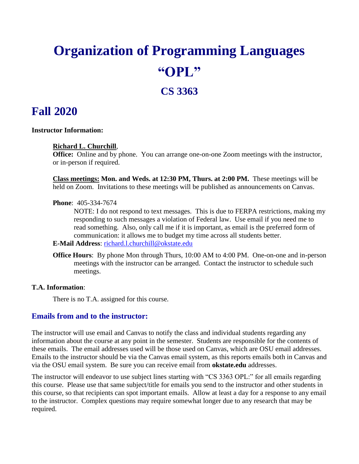# **Organization of Programming Languages "OPL"**

# **CS 3363**

# **Fall 2020**

#### **Instructor Information:**

#### **Richard L. Churchill**,

**Office:** Online and by phone. You can arrange one-on-one Zoom meetings with the instructor, or in-person if required.

**Class meetings: Mon. and Weds. at 12:30 PM, Thurs. at 2:00 PM.** These meetings will be held on Zoom. Invitations to these meetings will be published as announcements on Canvas.

#### **Phone**: 405-334-7674

NOTE: I do not respond to text messages. This is due to FERPA restrictions, making my responding to such messages a violation of Federal law. Use email if you need me to read something. Also, only call me if it is important, as email is the preferred form of communication: it allows me to budget my time across all students better.

**E-Mail Address**: [richard.l.churchill@okstate.edu](mailto:richard.l.churchill@okstate.edu)

**Office Hours**: By phone Mon through Thurs, 10:00 AM to 4:00 PM. One-on-one and in-person meetings with the instructor can be arranged. Contact the instructor to schedule such meetings.

#### **T.A. Information**:

There is no T.A. assigned for this course.

#### **Emails from and to the instructor:**

The instructor will use email and Canvas to notify the class and individual students regarding any information about the course at any point in the semester. Students are responsible for the contents of these emails. The email addresses used will be those used on Canvas, which are OSU email addresses. Emails to the instructor should be via the Canvas email system, as this reports emails both in Canvas and via the OSU email system. Be sure you can receive email from **okstate.edu** addresses.

The instructor will endeavor to use subject lines starting with "CS 3363 OPL:" for all emails regarding this course. Please use that same subject/title for emails you send to the instructor and other students in this course, so that recipients can spot important emails. Allow at least a day for a response to any email to the instructor. Complex questions may require somewhat longer due to any research that may be required.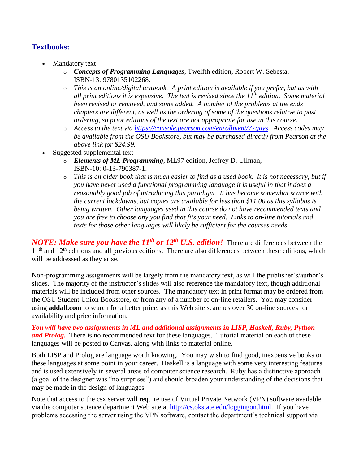# **Textbooks:**

- Mandatory text
	- o *Concepts of Programming Languages*, Twelfth edition, Robert W. Sebesta, ISBN-13: 9780135102268.
	- o *This is an online/digital textbook. A print edition is available if you prefer, but as with all print editions it is expensive. The text is revised since the 11th edition. Some material been revised or removed, and some added. A number of the problems at the ends chapters are different, as well as the ordering of some of the questions relative to past ordering, so prior editions of the text are not appropriate for use in this course.*
	- o *Access to the text via [https://console.pearson.com/enrollment/77qavs.](https://console.pearson.com/enrollment/77qavs) Access codes may be available from the OSU Bookstore, but may be purchased directly from Pearson at the above link for \$24.99.*
- Suggested supplemental text
	- o *Elements of ML Programming*, ML97 edition, Jeffrey D. Ullman, ISBN-10: 0-13-790387-1.
	- o *This is an older book that is much easier to find as a used book. It is not necessary, but if you have never used a functional programming language it is useful in that it does a reasonably good job of introducing this paradigm. It has become somewhat scarce with the current lockdowns, but copies are available for less than \$11.00 as this syllabus is being written. Other languages used in this course do not have recommended texts and you are free to choose any you find that fits your need. Links to on-line tutorials and texts for those other languages will likely be sufficient for the courses needs.*

*NOTE: Make sure you have the 11<sup>th</sup> or 12<sup>th</sup> U.S. <i>edition!* There are differences between the 11<sup>th</sup> and 12<sup>th</sup> editions and all previous editions. There are also differences between these editions, which will be addressed as they arise.

Non-programming assignments will be largely from the mandatory text, as will the publisher's/author's slides. The majority of the instructor's slides will also reference the mandatory text, though additional materials will be included from other sources. The mandatory text in print format may be ordered from the OSU Student Union Bookstore, or from any of a number of on-line retailers. You may consider using **addall.com** to search for a better price, as this Web site searches over 30 on-line sources for availability and price information.

*You will have two assignments in ML and additional assignments in LISP, Haskell, Ruby, Python and Prolog.* There is no recommended text for these languages. Tutorial material on each of these languages will be posted to Canvas, along with links to material online.

Both LISP and Prolog are language worth knowing. You may wish to find good, inexpensive books on these languages at some point in your career. Haskell is a language with some very interesting features and is used extensively in several areas of computer science research. Ruby has a distinctive approach (a goal of the designer was "no surprises") and should broaden your understanding of the decisions that may be made in the design of languages.

Note that access to the csx server will require use of Virtual Private Network (VPN) software available via the computer science department Web site at [http://cs.okstate.edu/loggingon.html.](http://cs.okstate.edu/loggingon.html) If you have problems accessing the server using the VPN software, contact the department's technical support via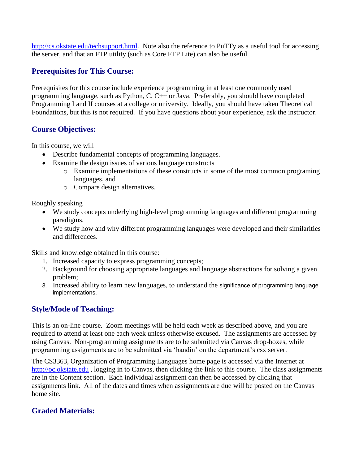[http://cs.okstate.edu/techsupport.html.](http://cs.okstate.edu/techsupport.html) Note also the reference to PuTTy as a useful tool for accessing the server, and that an FTP utility (such as Core FTP Lite) can also be useful.

#### **Prerequisites for This Course:**

Prerequisites for this course include experience programming in at least one commonly used programming language, such as Python, C, C++ or Java. Preferably, you should have completed Programming I and II courses at a college or university. Ideally, you should have taken Theoretical Foundations, but this is not required. If you have questions about your experience, ask the instructor.

#### **Course Objectives:**

In this course, we will

- Describe fundamental concepts of programming languages.
- Examine the design issues of various language constructs
	- o Examine implementations of these constructs in some of the most common programing languages, and
	- o Compare design alternatives.

Roughly speaking

- We study concepts underlying high-level programming languages and different programming paradigms.
- We study how and why different programming languages were developed and their similarities and differences.

Skills and knowledge obtained in this course:

- 1. Increased capacity to express programming concepts;
- 2. Background for choosing appropriate languages and language abstractions for solving a given problem;
- 3. Increased ability to learn new languages, to understand the significance of programming language implementations.

## **Style/Mode of Teaching:**

This is an on-line course. Zoom meetings will be held each week as described above, and you are required to attend at least one each week unless otherwise excused. The assignments are accessed by using Canvas. Non-programming assignments are to be submitted via Canvas drop-boxes, while programming assignments are to be submitted via 'handin' on the department's csx server.

The CS3363, Organization of Programming Languages home page is accessed via the Internet at [http://oc.okstate.edu](http://oc.okstate.edu/), logging in to Canvas, then clicking the link to this course. The class assignments are in the Content section. Each individual assignment can then be accessed by clicking that assignments link. All of the dates and times when assignments are due will be posted on the Canvas home site.

## **Graded Materials:**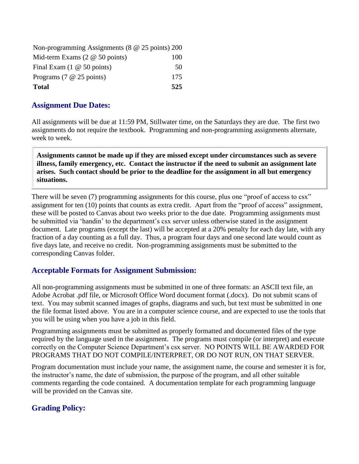| Non-programming Assignments ( $8 \& 25 \text{ points}$ ) 200 |     |
|--------------------------------------------------------------|-----|
| Mid-term Exams $(2 \otimes 50 \text{ points})$               | 100 |
| Final Exam $(1 \otimes 50 \text{ points})$                   | 50  |
| Programs $(7 \t@ 25 \tpoints)$                               | 175 |
| <b>Total</b>                                                 | 525 |

#### **Assignment Due Dates:**

All assignments will be due at 11:59 PM, Stillwater time, on the Saturdays they are due. The first two assignments do not require the textbook. Programming and non-programming assignments alternate, week to week.

**Assignments cannot be made up if they are missed except under circumstances such as severe illness, family emergency, etc. Contact the instructor if the need to submit an assignment late arises. Such contact should be prior to the deadline for the assignment in all but emergency situations.**

There will be seven (7) programming assignments for this course, plus one "proof of access to csx" assignment for ten (10) points that counts as extra credit. Apart from the "proof of access" assignment, these will be posted to Canvas about two weeks prior to the due date. Programming assignments must be submitted via 'handin' to the department's csx server unless otherwise stated in the assignment document. Late programs (except the last) will be accepted at a 20% penalty for each day late, with any fraction of a day counting as a full day. Thus, a program four days and one second late would count as five days late, and receive no credit. Non-programming assignments must be submitted to the corresponding Canvas folder.

## **Acceptable Formats for Assignment Submission:**

All non-programming assignments must be submitted in one of three formats: an ASCII text file, an Adobe Acrobat .pdf file, or Microsoft Office Word document format (.docx). Do not submit scans of text. You may submit scanned images of graphs, diagrams and such, but text must be submitted in one the file format listed above. You are in a computer science course, and are expected to use the tools that you will be using when you have a job in this field.

Programming assignments must be submitted as properly formatted and documented files of the type required by the language used in the assignment. The programs must compile (or interpret) and execute correctly on the Computer Science Department's csx server. NO POINTS WILL BE AWARDED FOR PROGRAMS THAT DO NOT COMPILE/INTERPRET, OR DO NOT RUN, ON THAT SERVER.

Program documentation must include your name, the assignment name, the course and semester it is for, the instructor's name, the date of submission, the purpose of the program, and all other suitable comments regarding the code contained. A documentation template for each programming language will be provided on the Canvas site.

# **Grading Policy:**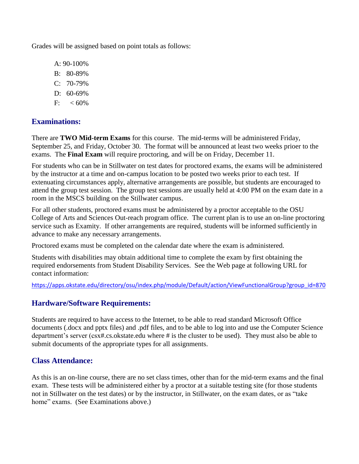Grades will be assigned based on point totals as follows:

A: 90-100% B: 80-89%

- C: 70-79%
- D: 60-69%
- $F: < 60\%$

## **Examinations:**

There are **TWO Mid-term Exams** for this course. The mid-terms will be administered Friday, September 25, and Friday, October 30. The format will be announced at least two weeks prioer to the exams. The **Final Exam** will require proctoring, and will be on Friday, December 11.

For students who can be in Stillwater on test dates for proctored exams, the exams will be administered by the instructor at a time and on-campus location to be posted two weeks prior to each test. If extenuating circumstances apply, alternative arrangements are possible, but students are encouraged to attend the group test session. The group test sessions are usually held at 4:00 PM on the exam date in a room in the MSCS building on the Stillwater campus.

For all other students, proctored exams must be administered by a proctor acceptable to the OSU College of Arts and Sciences Out-reach program office. The current plan is to use an on-line proctoring service such as Examity. If other arrangements are required, students will be informed sufficiently in advance to make any necessary arrangements.

Proctored exams must be completed on the calendar date where the exam is administered.

Students with disabilities may obtain additional time to complete the exam by first obtaining the required endorsements from Student Disability Services. See the Web page at following URL for contact information:

[https://apps.okstate.edu/directory/osu/index.php/module/Default/action/ViewFunctionalGroup?group\\_id=870](https://apps.okstate.edu/directory/osu/index.php/module/Default/action/ViewFunctionalGroup?group_id=870)

## **Hardware/Software Requirements:**

Students are required to have access to the Internet, to be able to read standard Microsoft Office documents (.docx and pptx files) and .pdf files, and to be able to log into and use the Computer Science department's server (csx#.cs.okstate.edu where # is the cluster to be used). They must also be able to submit documents of the appropriate types for all assignments.

#### **Class Attendance:**

As this is an on-line course, there are no set class times, other than for the mid-term exams and the final exam. These tests will be administered either by a proctor at a suitable testing site (for those students not in Stillwater on the test dates) or by the instructor, in Stillwater, on the exam dates, or as "take home" exams. (See Examinations above.)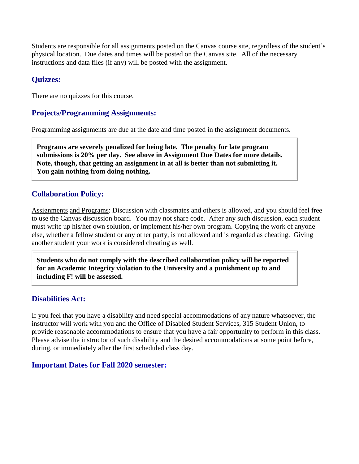Students are responsible for all assignments posted on the Canvas course site, regardless of the student's physical location. Due dates and times will be posted on the Canvas site.All of the necessary instructions and data files (if any) will be posted with the assignment.

#### **Quizzes:**

There are no quizzes for this course.

#### **Projects/Programming Assignments:**

Programming assignments are due at the date and time posted in the assignment documents.

**Programs are severely penalized for being late. The penalty for late program submissions is 20% per day. See above in Assignment Due Dates for more details. Note, though, that getting an assignment in at all is better than not submitting it. You gain nothing from doing nothing.**

#### **Collaboration Policy:**

Assignments and Programs: Discussion with classmates and others is allowed, and you should feel free to use the Canvas discussion board. You may not share code. After any such discussion, each student must write up his/her own solution, or implement his/her own program. Copying the work of anyone else, whether a fellow student or any other party, is not allowed and is regarded as cheating. Giving another student your work is considered cheating as well.

**Students who do not comply with the described collaboration policy will be reported for an Academic Integrity violation to the University and a punishment up to and including F! will be assessed.** 

#### **Disabilities Act:**

If you feel that you have a disability and need special accommodations of any nature whatsoever, the instructor will work with you and the Office of Disabled Student Services, 315 Student Union, to provide reasonable accommodations to ensure that you have a fair opportunity to perform in this class. Please advise the instructor of such disability and the desired accommodations at some point before, during, or immediately after the first scheduled class day.

## **Important Dates for Fall 2020 semester:**